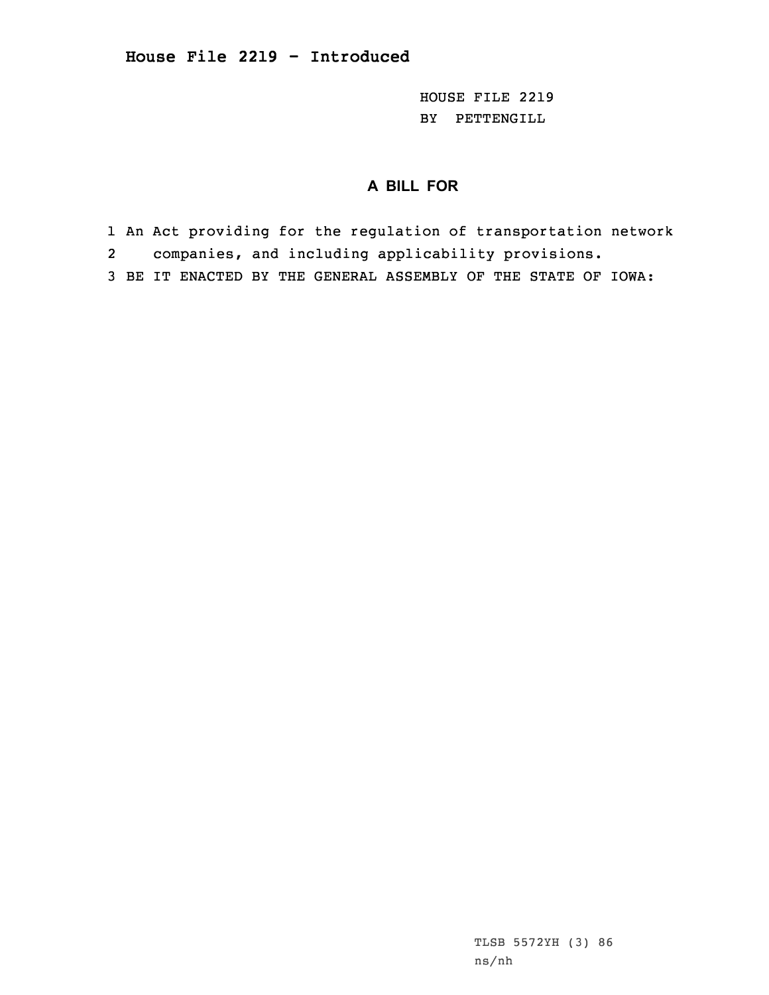HOUSE FILE 2219 BY PETTENGILL

# **A BILL FOR**

- 1 An Act providing for the regulation of transportation network
- 2 companies, and including applicability provisions.
- 3 BE IT ENACTED BY THE GENERAL ASSEMBLY OF THE STATE OF IOWA:

TLSB 5572YH (3) 86 ns/nh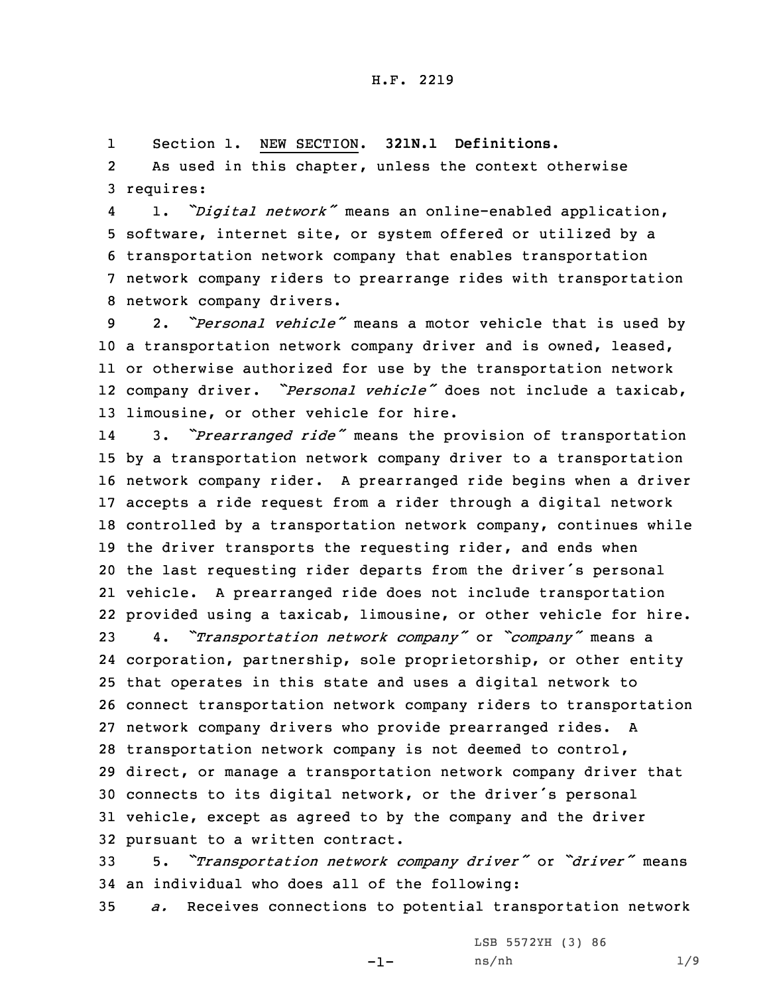1Section 1. NEW SECTION. **321N.1 Definitions.**

2 As used in this chapter, unless the context otherwise 3 requires:

4 1. *"Digital network"* means an online-enabled application, software, internet site, or system offered or utilized by <sup>a</sup> transportation network company that enables transportation network company riders to prearrange rides with transportation network company drivers.

 2. *"Personal vehicle"* means <sup>a</sup> motor vehicle that is used by <sup>a</sup> transportation network company driver and is owned, leased, or otherwise authorized for use by the transportation network company driver. *"Personal vehicle"* does not include <sup>a</sup> taxicab, limousine, or other vehicle for hire.

14 3. *"Prearranged ride"* means the provision of transportation by <sup>a</sup> transportation network company driver to <sup>a</sup> transportation network company rider. <sup>A</sup> prearranged ride begins when <sup>a</sup> driver accepts <sup>a</sup> ride request from <sup>a</sup> rider through <sup>a</sup> digital network controlled by <sup>a</sup> transportation network company, continues while 19 the driver transports the requesting rider, and ends when the last requesting rider departs from the driver's personal vehicle. <sup>A</sup> prearranged ride does not include transportation provided using <sup>a</sup> taxicab, limousine, or other vehicle for hire.

 4. *"Transportation network company"* or *"company"* means <sup>a</sup> corporation, partnership, sole proprietorship, or other entity that operates in this state and uses <sup>a</sup> digital network to connect transportation network company riders to transportation network company drivers who provide prearranged rides. <sup>A</sup> transportation network company is not deemed to control, direct, or manage <sup>a</sup> transportation network company driver that connects to its digital network, or the driver's personal vehicle, except as agreed to by the company and the driver pursuant to <sup>a</sup> written contract.

<sup>33</sup> 5. *"Transportation network company driver"* or *"driver"* means 34 an individual who does all of the following:

35 *a.* Receives connections to potential transportation network

LSB 5572YH (3) 86

-1-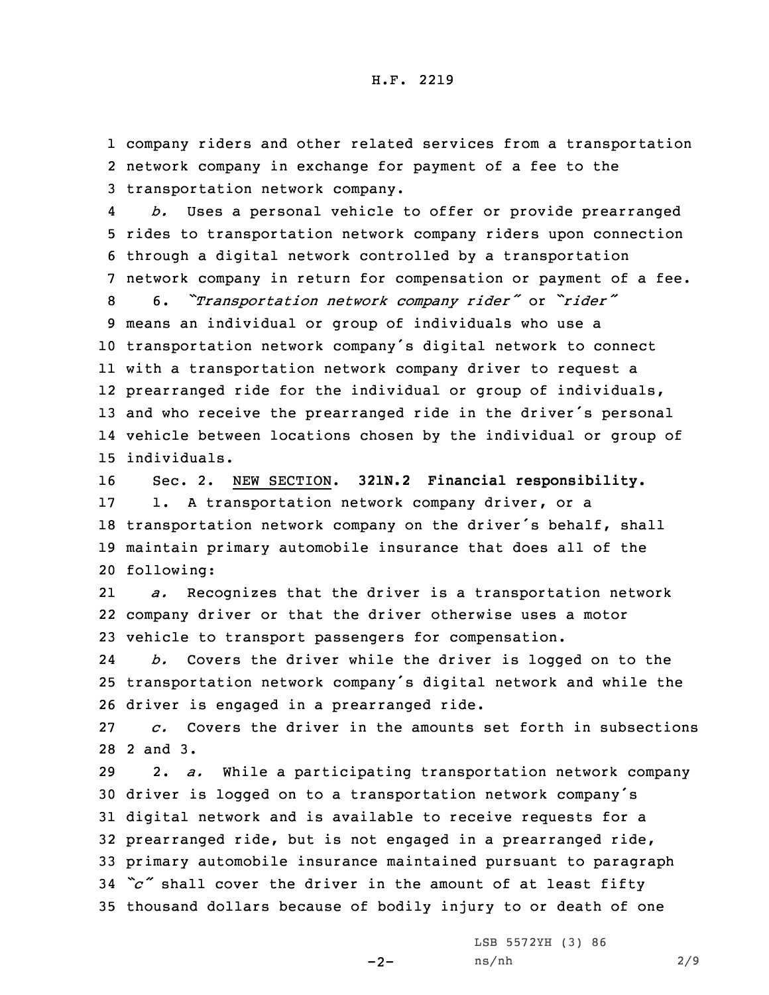1 company riders and other related services from <sup>a</sup> transportation 2 network company in exchange for payment of <sup>a</sup> fee to the 3 transportation network company.

4 *b.* Uses <sup>a</sup> personal vehicle to offer or provide prearranged rides to transportation network company riders upon connection through <sup>a</sup> digital network controlled by <sup>a</sup> transportation network company in return for compensation or payment of <sup>a</sup> fee. 6. *"Transportation network company rider"* or *"rider"* means an individual or group of individuals who use <sup>a</sup> transportation network company's digital network to connect with <sup>a</sup> transportation network company driver to request <sup>a</sup>

 prearranged ride for the individual or group of individuals, and who receive the prearranged ride in the driver's personal vehicle between locations chosen by the individual or group of individuals.

 Sec. 2. NEW SECTION. **321N.2 Financial responsibility.** 1. <sup>A</sup> transportation network company driver, or <sup>a</sup> transportation network company on the driver's behalf, shall maintain primary automobile insurance that does all of the following:

21 *a.* Recognizes that the driver is <sup>a</sup> transportation network 22 company driver or that the driver otherwise uses <sup>a</sup> motor 23 vehicle to transport passengers for compensation.

24 *b.* Covers the driver while the driver is logged on to the <sup>25</sup> transportation network company's digital network and while the 26 driver is engaged in <sup>a</sup> prearranged ride.

27 *c.* Covers the driver in the amounts set forth in subsections 28 2 and 3.

 2. *a.* While <sup>a</sup> participating transportation network company driver is logged on to <sup>a</sup> transportation network company's digital network and is available to receive requests for <sup>a</sup> prearranged ride, but is not engaged in <sup>a</sup> prearranged ride, primary automobile insurance maintained pursuant to paragraph *"c"* shall cover the driver in the amount of at least fifty thousand dollars because of bodily injury to or death of one

 $-2-$ 

LSB 5572YH (3) 86 ns/nh 2/9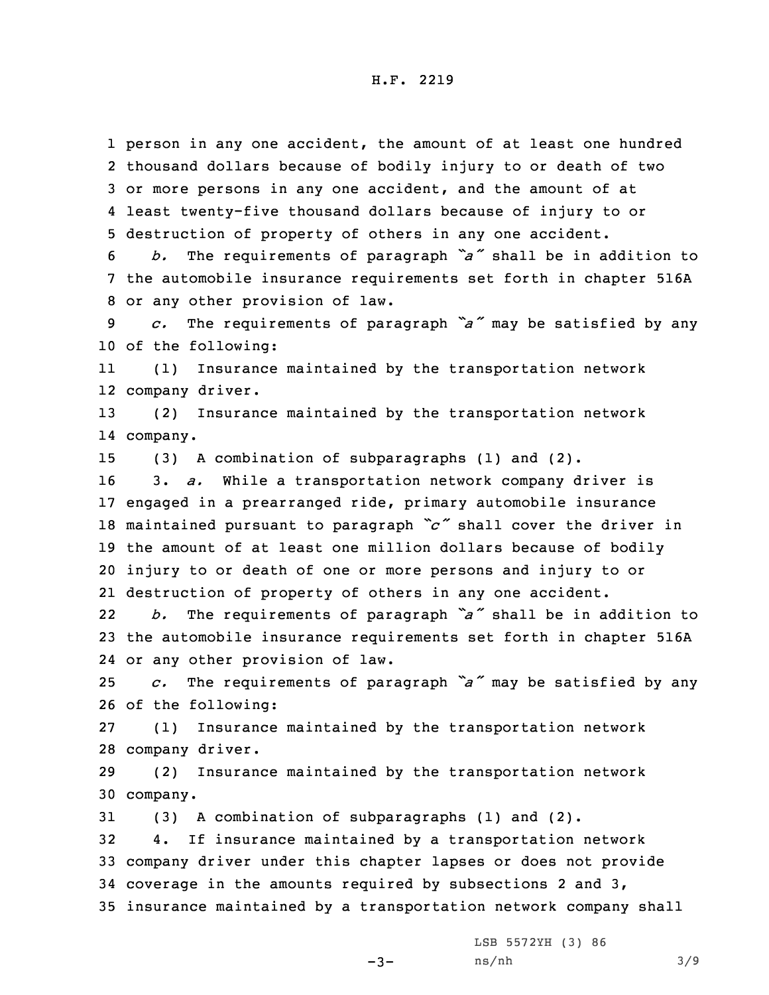person in any one accident, the amount of at least one hundred thousand dollars because of bodily injury to or death of two or more persons in any one accident, and the amount of at least twenty-five thousand dollars because of injury to or destruction of property of others in any one accident. *b.* The requirements of paragraph *"a"* shall be in addition to the automobile insurance requirements set forth in chapter 516A or any other provision of law. *c.* The requirements of paragraph *"a"* may be satisfied by any of the following: 11 (1) Insurance maintained by the transportation network company driver. (2) Insurance maintained by the transportation network 14 company. (3) <sup>A</sup> combination of subparagraphs (1) and (2). 3. *a.* While <sup>a</sup> transportation network company driver is engaged in <sup>a</sup> prearranged ride, primary automobile insurance maintained pursuant to paragraph *"c"* shall cover the driver in the amount of at least one million dollars because of bodily injury to or death of one or more persons and injury to or destruction of property of others in any one accident. 22 *b.* The requirements of paragraph *"a"* shall be in addition to the automobile insurance requirements set forth in chapter 516A or any other provision of law. *c.* The requirements of paragraph *"a"* may be satisfied by any of the following: (1) Insurance maintained by the transportation network company driver. (2) Insurance maintained by the transportation network 30 company. (3) <sup>A</sup> combination of subparagraphs (1) and (2). 4. If insurance maintained by <sup>a</sup> transportation network company driver under this chapter lapses or does not provide coverage in the amounts required by subsections 2 and 3, insurance maintained by <sup>a</sup> transportation network company shall LSB 5572YH (3) 86

 $-3-$ 

ns/nh 3/9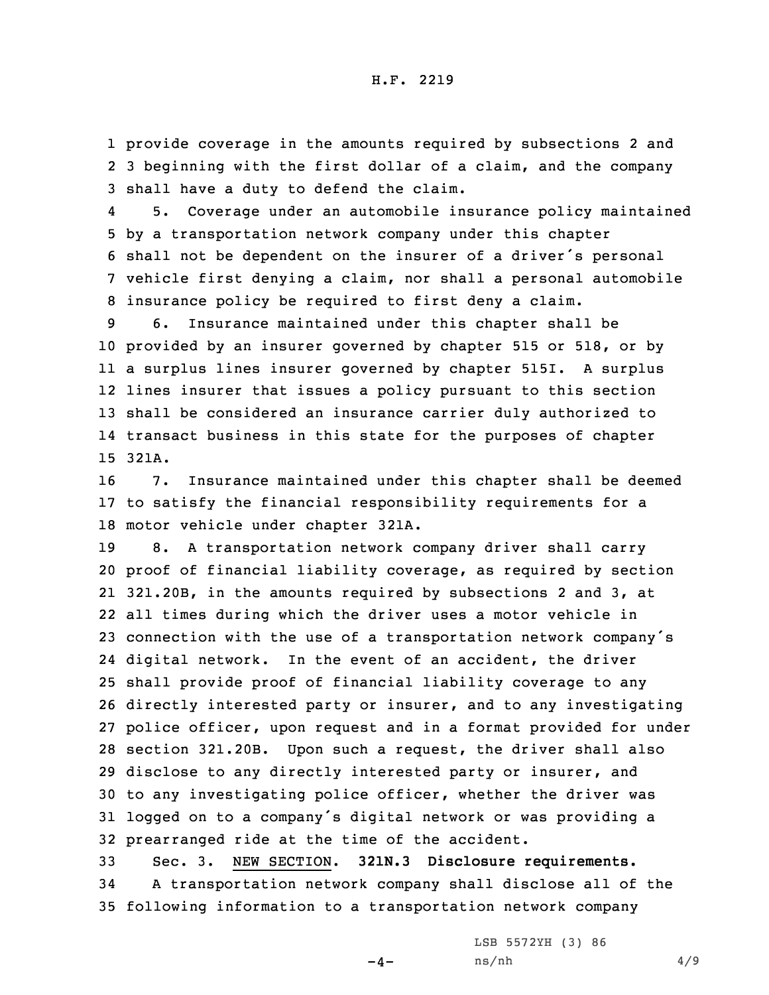1 provide coverage in the amounts required by subsections 2 and 2 3 beginning with the first dollar of <sup>a</sup> claim, and the company 3 shall have <sup>a</sup> duty to defend the claim.

4 5. Coverage under an automobile insurance policy maintained by <sup>a</sup> transportation network company under this chapter shall not be dependent on the insurer of <sup>a</sup> driver's personal vehicle first denying <sup>a</sup> claim, nor shall <sup>a</sup> personal automobile insurance policy be required to first deny <sup>a</sup> claim.

 6. Insurance maintained under this chapter shall be provided by an insurer governed by chapter 515 or 518, or by <sup>a</sup> surplus lines insurer governed by chapter 515I. <sup>A</sup> surplus lines insurer that issues <sup>a</sup> policy pursuant to this section shall be considered an insurance carrier duly authorized to transact business in this state for the purposes of chapter 15 321A.

16 7. Insurance maintained under this chapter shall be deemed 17 to satisfy the financial responsibility requirements for <sup>a</sup> 18 motor vehicle under chapter 321A.

 8. <sup>A</sup> transportation network company driver shall carry proof of financial liability coverage, as required by section 321.20B, in the amounts required by subsections 2 and 3, at all times during which the driver uses <sup>a</sup> motor vehicle in connection with the use of <sup>a</sup> transportation network company's digital network. In the event of an accident, the driver shall provide proof of financial liability coverage to any directly interested party or insurer, and to any investigating police officer, upon request and in <sup>a</sup> format provided for under section 321.20B. Upon such <sup>a</sup> request, the driver shall also disclose to any directly interested party or insurer, and to any investigating police officer, whether the driver was logged on to <sup>a</sup> company's digital network or was providing <sup>a</sup> prearranged ride at the time of the accident.

33 Sec. 3. NEW SECTION. **321N.3 Disclosure requirements.** 34 <sup>A</sup> transportation network company shall disclose all of the 35 following information to <sup>a</sup> transportation network company

LSB 5572YH (3) 86

 $-4-$ 

ns/nh 4/9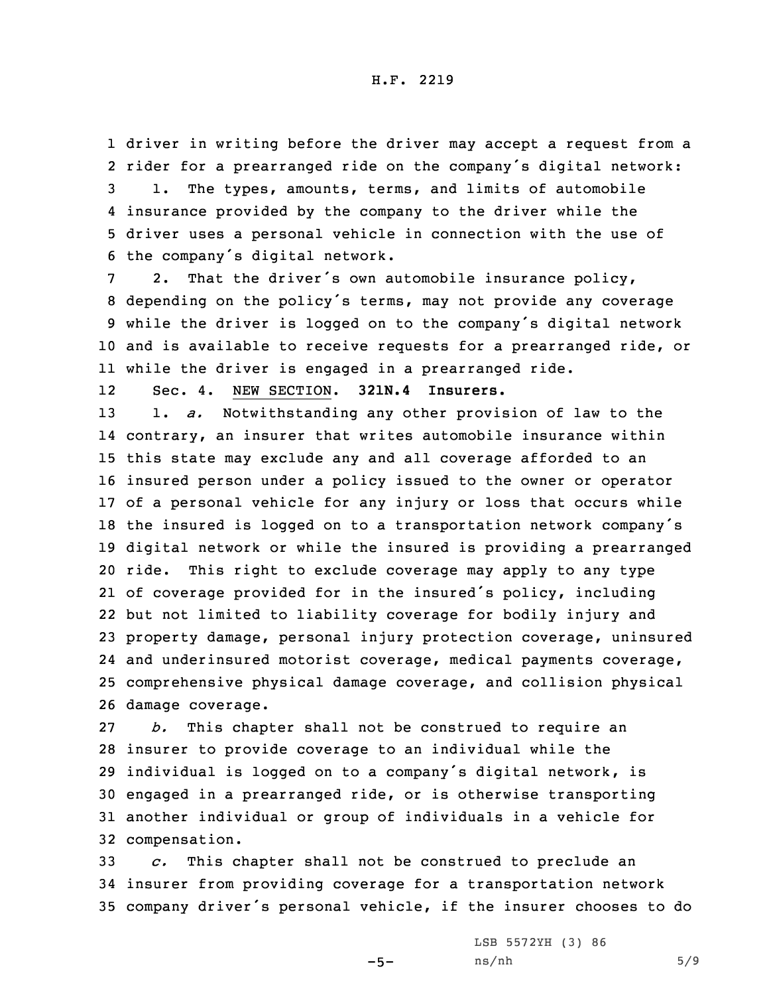driver in writing before the driver may accept <sup>a</sup> request from <sup>a</sup> rider for <sup>a</sup> prearranged ride on the company's digital network: 1. The types, amounts, terms, and limits of automobile insurance provided by the company to the driver while the driver uses <sup>a</sup> personal vehicle in connection with the use of the company's digital network.

 2. That the driver's own automobile insurance policy, depending on the policy's terms, may not provide any coverage while the driver is logged on to the company's digital network and is available to receive requests for <sup>a</sup> prearranged ride, or while the driver is engaged in <sup>a</sup> prearranged ride.

12Sec. 4. NEW SECTION. **321N.4 Insurers.**

 1. *a.* Notwithstanding any other provision of law to the contrary, an insurer that writes automobile insurance within this state may exclude any and all coverage afforded to an insured person under <sup>a</sup> policy issued to the owner or operator of <sup>a</sup> personal vehicle for any injury or loss that occurs while the insured is logged on to <sup>a</sup> transportation network company's digital network or while the insured is providing <sup>a</sup> prearranged ride. This right to exclude coverage may apply to any type of coverage provided for in the insured's policy, including but not limited to liability coverage for bodily injury and property damage, personal injury protection coverage, uninsured and underinsured motorist coverage, medical payments coverage, comprehensive physical damage coverage, and collision physical damage coverage.

 *b.* This chapter shall not be construed to require an insurer to provide coverage to an individual while the individual is logged on to <sup>a</sup> company's digital network, is engaged in <sup>a</sup> prearranged ride, or is otherwise transporting another individual or group of individuals in <sup>a</sup> vehicle for compensation.

33 *c.* This chapter shall not be construed to preclude an 34 insurer from providing coverage for <sup>a</sup> transportation network <sup>35</sup> company driver's personal vehicle, if the insurer chooses to do

 $-5-$ 

LSB 5572YH (3) 86 ns/nh 5/9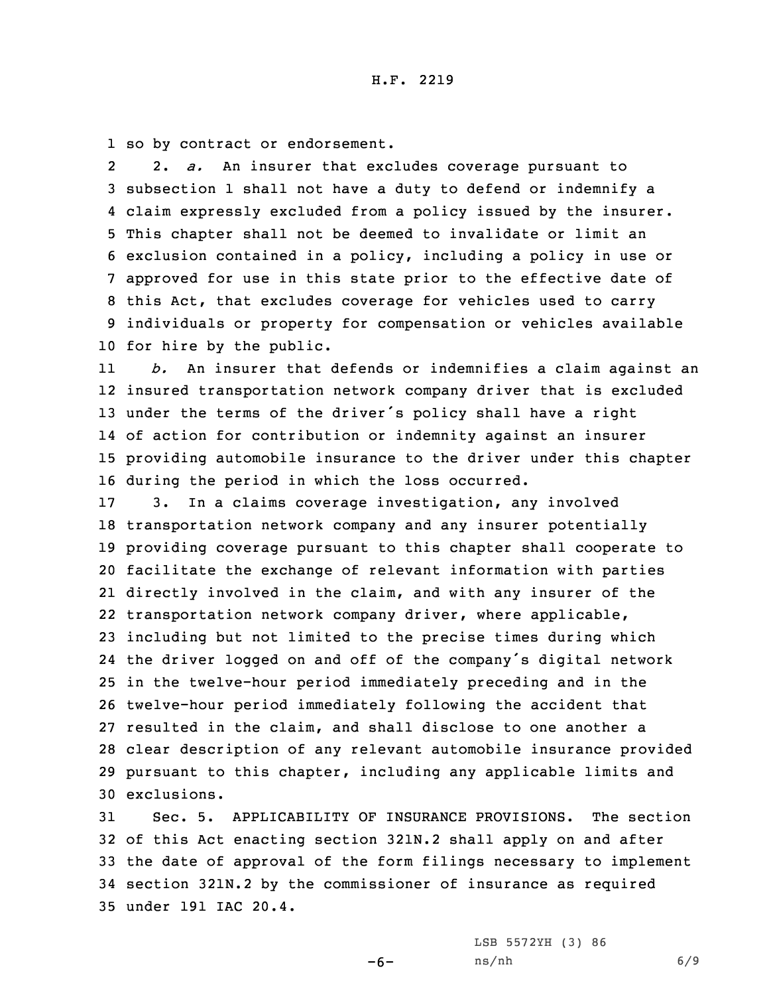1 so by contract or endorsement.

2 2. *a.* An insurer that excludes coverage pursuant to subsection 1 shall not have <sup>a</sup> duty to defend or indemnify <sup>a</sup> claim expressly excluded from <sup>a</sup> policy issued by the insurer. This chapter shall not be deemed to invalidate or limit an exclusion contained in <sup>a</sup> policy, including <sup>a</sup> policy in use or approved for use in this state prior to the effective date of this Act, that excludes coverage for vehicles used to carry individuals or property for compensation or vehicles available for hire by the public.

11 *b.* An insurer that defends or indemnifies <sup>a</sup> claim against an insured transportation network company driver that is excluded under the terms of the driver's policy shall have <sup>a</sup> right of action for contribution or indemnity against an insurer providing automobile insurance to the driver under this chapter during the period in which the loss occurred.

 3. In <sup>a</sup> claims coverage investigation, any involved transportation network company and any insurer potentially providing coverage pursuant to this chapter shall cooperate to facilitate the exchange of relevant information with parties directly involved in the claim, and with any insurer of the transportation network company driver, where applicable, including but not limited to the precise times during which the driver logged on and off of the company's digital network in the twelve-hour period immediately preceding and in the twelve-hour period immediately following the accident that resulted in the claim, and shall disclose to one another <sup>a</sup> clear description of any relevant automobile insurance provided pursuant to this chapter, including any applicable limits and exclusions.

 Sec. 5. APPLICABILITY OF INSURANCE PROVISIONS. The section of this Act enacting section 321N.2 shall apply on and after the date of approval of the form filings necessary to implement section 321N.2 by the commissioner of insurance as required under 191 IAC 20.4.

 $-6-$ 

LSB 5572YH (3) 86 ns/nh 6/9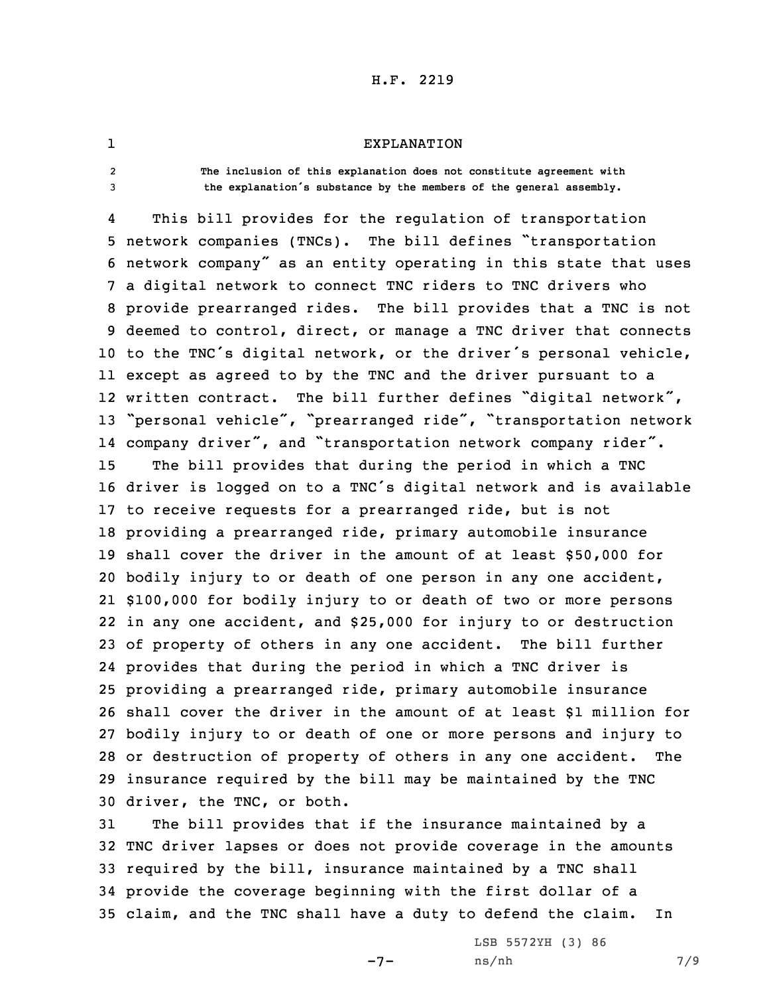## EXPLANATION

- 1
- $\overline{2}$

 **The inclusion of this explanation does not constitute agreement with** <sup>3</sup> **the explanation's substance by the members of the general assembly.**

4 This bill provides for the regulation of transportation network companies (TNCs). The bill defines "transportation network company" as an entity operating in this state that uses <sup>a</sup> digital network to connect TNC riders to TNC drivers who provide prearranged rides. The bill provides that <sup>a</sup> TNC is not deemed to control, direct, or manage <sup>a</sup> TNC driver that connects to the TNC's digital network, or the driver's personal vehicle, except as agreed to by the TNC and the driver pursuant to <sup>a</sup> written contract. The bill further defines "digital network", "personal vehicle", "prearranged ride", "transportation network company driver", and "transportation network company rider". The bill provides that during the period in which <sup>a</sup> TNC driver is logged on to <sup>a</sup> TNC's digital network and is available to receive requests for <sup>a</sup> prearranged ride, but is not providing <sup>a</sup> prearranged ride, primary automobile insurance shall cover the driver in the amount of at least \$50,000 for bodily injury to or death of one person in any one accident, \$100,000 for bodily injury to or death of two or more persons in any one accident, and \$25,000 for injury to or destruction of property of others in any one accident. The bill further provides that during the period in which <sup>a</sup> TNC driver is providing <sup>a</sup> prearranged ride, primary automobile insurance shall cover the driver in the amount of at least \$1 million for bodily injury to or death of one or more persons and injury to or destruction of property of others in any one accident. The insurance required by the bill may be maintained by the TNC driver, the TNC, or both.

 The bill provides that if the insurance maintained by <sup>a</sup> TNC driver lapses or does not provide coverage in the amounts required by the bill, insurance maintained by <sup>a</sup> TNC shall provide the coverage beginning with the first dollar of <sup>a</sup> claim, and the TNC shall have <sup>a</sup> duty to defend the claim. In

 $-7-$ 

LSB 5572YH (3) 86 ns/nh 7/9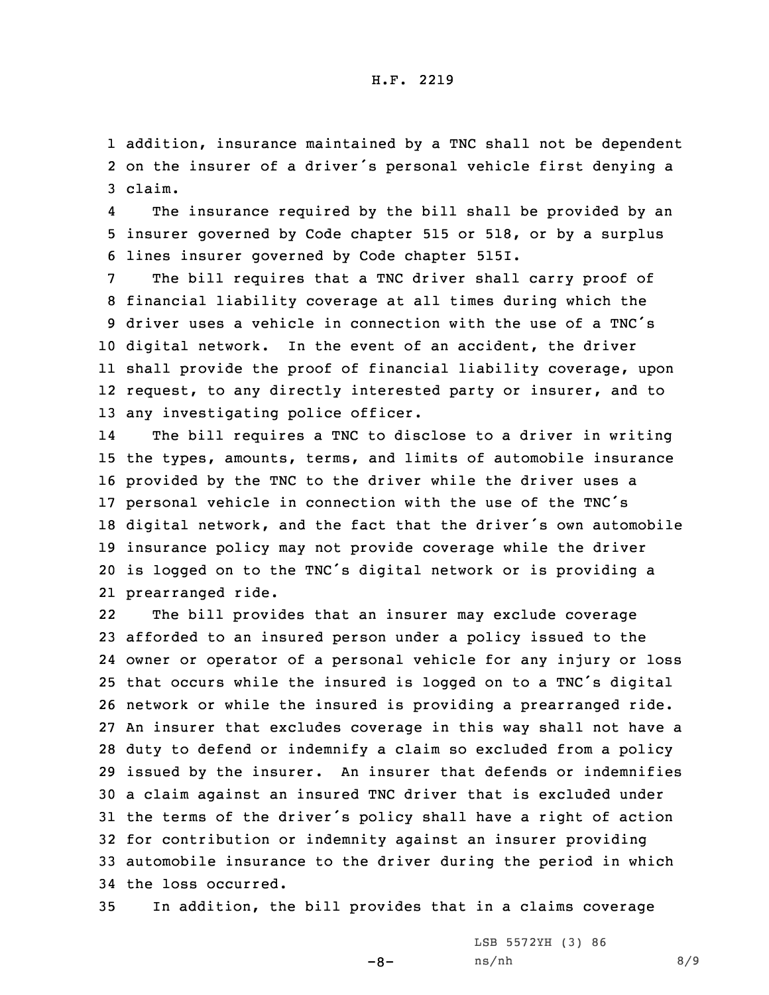1 addition, insurance maintained by <sup>a</sup> TNC shall not be dependent 2 on the insurer of <sup>a</sup> driver's personal vehicle first denying <sup>a</sup> 3 claim.

4 The insurance required by the bill shall be provided by an 5 insurer governed by Code chapter 515 or 518, or by <sup>a</sup> surplus 6 lines insurer governed by Code chapter 515I.

 The bill requires that <sup>a</sup> TNC driver shall carry proof of financial liability coverage at all times during which the driver uses <sup>a</sup> vehicle in connection with the use of <sup>a</sup> TNC's digital network. In the event of an accident, the driver shall provide the proof of financial liability coverage, upon request, to any directly interested party or insurer, and to any investigating police officer.

14 The bill requires <sup>a</sup> TNC to disclose to <sup>a</sup> driver in writing the types, amounts, terms, and limits of automobile insurance provided by the TNC to the driver while the driver uses <sup>a</sup> personal vehicle in connection with the use of the TNC's digital network, and the fact that the driver's own automobile insurance policy may not provide coverage while the driver is logged on to the TNC's digital network or is providing <sup>a</sup> prearranged ride.

22 The bill provides that an insurer may exclude coverage afforded to an insured person under <sup>a</sup> policy issued to the owner or operator of <sup>a</sup> personal vehicle for any injury or loss that occurs while the insured is logged on to <sup>a</sup> TNC's digital network or while the insured is providing <sup>a</sup> prearranged ride. An insurer that excludes coverage in this way shall not have <sup>a</sup> duty to defend or indemnify <sup>a</sup> claim so excluded from <sup>a</sup> policy issued by the insurer. An insurer that defends or indemnifies <sup>a</sup> claim against an insured TNC driver that is excluded under the terms of the driver's policy shall have <sup>a</sup> right of action for contribution or indemnity against an insurer providing automobile insurance to the driver during the period in which the loss occurred.

35 In addition, the bill provides that in <sup>a</sup> claims coverage

 $-8-$ 

LSB 5572YH (3) 86 ns/nh 8/9